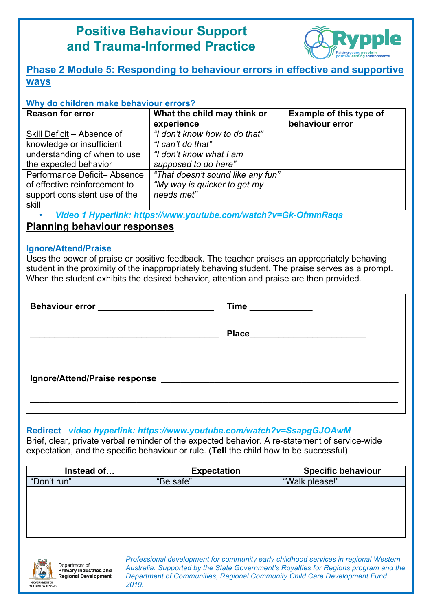# **Positive Behaviour Support and Trauma-Informed Practice**



## **Phase 2 Module 5: Responding to behaviour errors in effective and supportive ways**

#### **Why do children make behaviour errors?**

| <b>Reason for error</b>                                                                                | What the child may think or<br>experience                                       | <b>Example of this type of</b><br>behaviour error |
|--------------------------------------------------------------------------------------------------------|---------------------------------------------------------------------------------|---------------------------------------------------|
| Skill Deficit - Absence of<br>knowledge or insufficient<br>understanding of when to use                | "I don't know how to do that"<br>"I can't do that"<br>"I don't know what I am   |                                                   |
| the expected behavior                                                                                  | supposed to do here"                                                            |                                                   |
| Performance Deficit-Absence<br>of effective reinforcement to<br>support consistent use of the<br>skill | "That doesn't sound like any fun"<br>"My way is quicker to get my<br>needs met" |                                                   |

• *Video 1 Hyperlink: https://www.youtube.com/watch?v=Gk-OfmmRaqs*

**Planning behaviour responses**

#### **Ignore/Attend/Praise**

Uses the power of praise or positive feedback. The teacher praises an appropriately behaving student in the proximity of the inappropriately behaving student. The praise serves as a prompt. When the student exhibits the desired behavior, attention and praise are then provided.

| Behaviour error <b>Exercise Services</b> | Time         |
|------------------------------------------|--------------|
|                                          | <b>Place</b> |
|                                          |              |
| Ignore/Attend/Praise response            |              |
|                                          |              |

## **Redirect** *video hyperlink: https://www.youtube.com/watch?v=SsapgGJOAwM*

Brief, clear, private verbal reminder of the expected behavior. A re-statement of service-wide expectation, and the specific behaviour or rule. (**Tell** the child how to be successful)

| Instead of  | <b>Expectation</b> | <b>Specific behaviour</b> |
|-------------|--------------------|---------------------------|
| "Don't run" | "Be safe"          | "Walk please!"            |
|             |                    |                           |
|             |                    |                           |
|             |                    |                           |
|             |                    |                           |
|             |                    |                           |



Department of **Primary Industries and** Regional Development *Professional development for community early childhood services in regional Western Australia. Supported by the State Government's Royalties for Regions program and the Department of Communities, Regional Community Child Care Development Fund 2019.*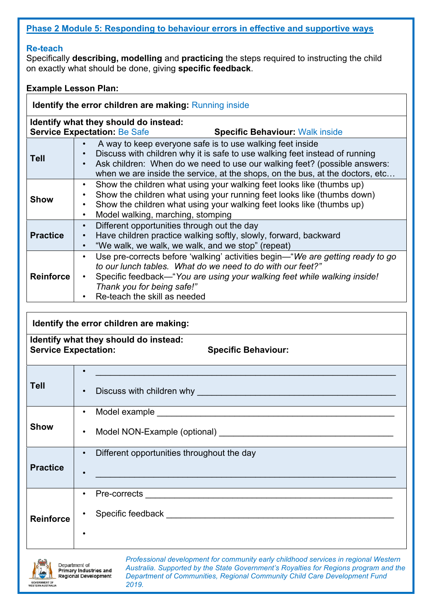### **Phase 2 Module 5: Responding to behaviour errors in effective and supportive ways**

#### **Re-teach**

Specifically **describing, modelling** and **practicing** the steps required to instructing the child on exactly what should be done, giving **specific feedback**.

#### **Example Lesson Plan:**

| <b>Identify the error children are making: Running inside</b> |                                                                                                                                                                                                                                                                                                                                  |  |  |  |  |
|---------------------------------------------------------------|----------------------------------------------------------------------------------------------------------------------------------------------------------------------------------------------------------------------------------------------------------------------------------------------------------------------------------|--|--|--|--|
|                                                               | Identify what they should do instead:<br><b>Service Expectation: Be Safe</b><br><b>Specific Behaviour: Walk inside</b>                                                                                                                                                                                                           |  |  |  |  |
| <b>Tell</b>                                                   | A way to keep everyone safe is to use walking feet inside<br>Discuss with children why it is safe to use walking feet instead of running<br>$\bullet$<br>Ask children: When do we need to use our walking feet? (possible answers:<br>$\bullet$<br>when we are inside the service, at the shops, on the bus, at the doctors, etc |  |  |  |  |
| <b>Show</b>                                                   | Show the children what using your walking feet looks like (thumbs up)<br>$\bullet$<br>Show the children what using your running feet looks like (thumbs down)<br>$\bullet$<br>Show the children what using your walking feet looks like (thumbs up)<br>Model walking marching stomping                                           |  |  |  |  |

|                  | Model walking, marching, stomping<br>$\bullet$                                                                                                                                                                                                                                                      |
|------------------|-----------------------------------------------------------------------------------------------------------------------------------------------------------------------------------------------------------------------------------------------------------------------------------------------------|
| <b>Practice</b>  | Different opportunities through out the day<br>Have children practice walking softly, slowly, forward, backward<br>$\bullet$<br>"We walk, we walk, we walk, and we stop" (repeat)                                                                                                                   |
| <b>Reinforce</b> | Use pre-corrects before 'walking' activities begin—"We are getting ready to go<br>$\bullet$<br>to our lunch tables. What do we need to do with our feet?"<br>Specific feedback—"You are using your walking feet while walking inside!<br>Thank you for being safe!"<br>Re-teach the skill as needed |

#### **Identify the error children are making:**

#### **Identify what they should do instead:**  Service Expectation: Specific Behaviour:

**Tell**   $\bullet$  . The contract of the contract of the contract of the contract of the contract of the contract of the contract of • Discuss with children why \_\_\_\_\_\_\_\_\_\_\_\_\_\_\_\_\_\_\_\_\_\_\_\_\_\_\_\_\_\_\_\_\_\_\_\_\_\_\_\_\_ **Show** • Model example • Model NON-Example (optional) **Practice** • Different opportunities throughout the day  $\bullet$  . The contribution of the contribution of the contribution of the contribution of the contribution of the contribution of the contribution of the contribution of the contribution of the contribution of the contributi **Reinforce** • Pre-corrects  $\_\_$ • Specific feedback **Example 2018** •



*Professional development for community early childhood services in regional Western Australia. Supported by the State Government's Royalties for Regions program and the Department of Communities, Regional Community Child Care Development Fund 2019.*